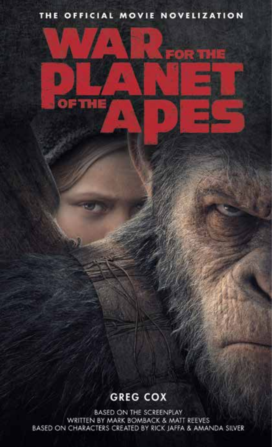## THE OFFICIAL MOVIE NOVELIZATION

п

**Provide** 

**CONTRACT** 

**Barnett** 

سم **COMMON** 

# **GREG COX**

BASED ON THE SCREENPLAY. WRITTEN BY MARK BOMBACK & MATT REEVES BASED ON CHARACTERS CREATED BY RICK JAFFA & AMANDA SILVER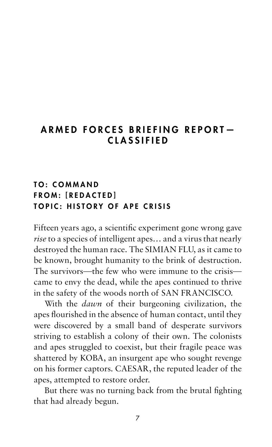# ARMED FORCES BRIEFING REPORT— CLASSIFIED

# TO: COMMAND FROM: [REDACTED] TOPIC: HISTORY OF APE CRISIS

Fifteen years ago, a scientific experiment gone wrong gave *rise* to a species of intelligent apes… and a virus that nearly destroyed the human race. The SIMIAN FLU, as it came to be known, brought humanity to the brink of destruction. The survivors—the few who were immune to the crisis came to envy the dead, while the apes continued to thrive in the safety of the woods north of SAN FRANCISCO.

With the *dawn* of their burgeoning civilization, the apes flourished in the absence of human contact, until they were discovered by a small band of desperate survivors striving to establish a colony of their own. The colonists and apes struggled to coexist, but their fragile peace was shattered by KOBA, an insurgent ape who sought revenge on his former captors. CAESAR, the reputed leader of the apes, attempted to restore order.

But there was no turning back from the brutal fighting that had already begun.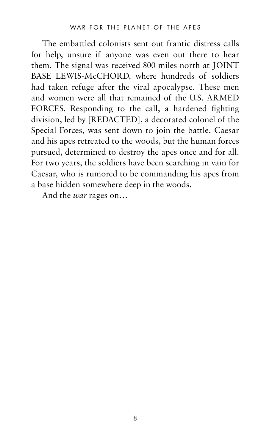The embattled colonists sent out frantic distress calls for help, unsure if anyone was even out there to hear them. The signal was received 800 miles north at JOINT BASE LEWIS-McCHORD, where hundreds of soldiers had taken refuge after the viral apocalypse. These men and women were all that remained of the U.S. ARMED FORCES. Responding to the call, a hardened fighting division, led by [REDACTED], a decorated colonel of the Special Forces, was sent down to join the battle. Caesar and his apes retreated to the woods, but the human forces pursued, determined to destroy the apes once and for all. For two years, the soldiers have been searching in vain for Caesar, who is rumored to be commanding his apes from a base hidden somewhere deep in the woods.

And the *war* rages on…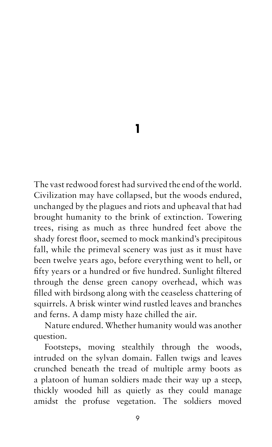**1**

The vast redwood forest had survived the end of the world. Civilization may have collapsed, but the woods endured, unchanged by the plagues and riots and upheaval that had brought humanity to the brink of extinction. Towering trees, rising as much as three hundred feet above the shady forest floor, seemed to mock mankind's precipitous fall, while the primeval scenery was just as it must have been twelve years ago, before everything went to hell, or fifty years or a hundred or five hundred. Sunlight filtered through the dense green canopy overhead, which was filled with birdsong along with the ceaseless chattering of squirrels. A brisk winter wind rustled leaves and branches and ferns. A damp misty haze chilled the air.

Nature endured. Whether humanity would was another question.

Footsteps, moving stealthily through the woods, intruded on the sylvan domain. Fallen twigs and leaves crunched beneath the tread of multiple army boots as a platoon of human soldiers made their way up a steep, thickly wooded hill as quietly as they could manage amidst the profuse vegetation. The soldiers moved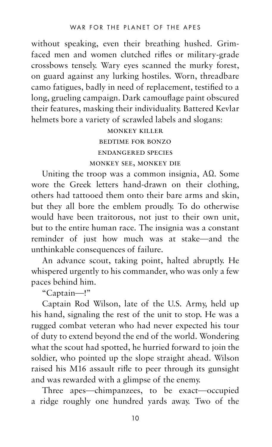without speaking, even their breathing hushed. Grimfaced men and women clutched rifles or military-grade crossbows tensely. Wary eyes scanned the murky forest, on guard against any lurking hostiles. Worn, threadbare camo fatigues, badly in need of replacement, testified to a long, grueling campaign. Dark camouflage paint obscured their features, masking their individuality. Battered Kevlar helmets bore a variety of scrawled labels and slogans:

> monkey killer bedtime for bonzo endangered species monkey see, monkey die

Uniting the troop was a common insignia, AΩ. Some wore the Greek letters hand-drawn on their clothing, others had tattooed them onto their bare arms and skin, but they all bore the emblem proudly. To do otherwise would have been traitorous, not just to their own unit, but to the entire human race. The insignia was a constant reminder of just how much was at stake—and the unthinkable consequences of failure.

An advance scout, taking point, halted abruptly. He whispered urgently to his commander, who was only a few paces behind him.

"Captain—!"

Captain Rod Wilson, late of the U.S. Army, held up his hand, signaling the rest of the unit to stop. He was a rugged combat veteran who had never expected his tour of duty to extend beyond the end of the world. Wondering what the scout had spotted, he hurried forward to join the soldier, who pointed up the slope straight ahead. Wilson raised his M16 assault rifle to peer through its gunsight and was rewarded with a glimpse of the enemy.

Three apes—chimpanzees, to be exact—occupied a ridge roughly one hundred yards away. Two of the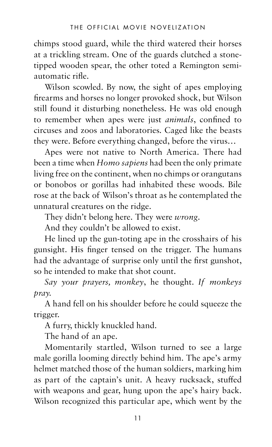chimps stood guard, while the third watered their horses at a trickling stream. One of the guards clutched a stonetipped wooden spear, the other toted a Remington semiautomatic rifle.

Wilson scowled. By now, the sight of apes employing firearms and horses no longer provoked shock, but Wilson still found it disturbing nonetheless. He was old enough to remember when apes were just *animals*, confined to circuses and zoos and laboratories. Caged like the beasts they were. Before everything changed, before the virus…

Apes were not native to North America. There had been a time when *Homo sapiens* had been the only primate living free on the continent, when no chimps or orangutans or bonobos or gorillas had inhabited these woods. Bile rose at the back of Wilson's throat as he contemplated the unnatural creatures on the ridge.

They didn't belong here. They were *wrong*.

And they couldn't be allowed to exist.

He lined up the gun-toting ape in the crosshairs of his gunsight. His finger tensed on the trigger. The humans had the advantage of surprise only until the first gunshot, so he intended to make that shot count.

*Say your prayers, monkey*, he thought. *If monkeys pray.*

A hand fell on his shoulder before he could squeeze the trigger.

A furry, thickly knuckled hand.

The hand of an ape.

Momentarily startled, Wilson turned to see a large male gorilla looming directly behind him. The ape's army helmet matched those of the human soldiers, marking him as part of the captain's unit. A heavy rucksack, stuffed with weapons and gear, hung upon the ape's hairy back. Wilson recognized this particular ape, which went by the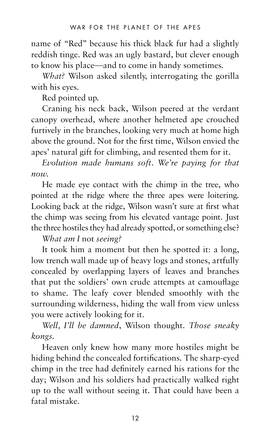name of "Red" because his thick black fur had a slightly reddish tinge. Red was an ugly bastard, but clever enough to know his place—and to come in handy sometimes.

*What?* Wilson asked silently, interrogating the gorilla with his eyes.

Red pointed up.

Craning his neck back, Wilson peered at the verdant canopy overhead, where another helmeted ape crouched furtively in the branches, looking very much at home high above the ground. Not for the first time, Wilson envied the apes' natural gift for climbing, and resented them for it.

*Evolution made humans soft. We're paying for that now.*

He made eye contact with the chimp in the tree, who pointed at the ridge where the three apes were loitering. Looking back at the ridge, Wilson wasn't sure at first what the chimp was seeing from his elevated vantage point. Just the three hostiles they had already spotted, or something else?

*What am I* not *seeing?*

It took him a moment but then he spotted it: a long, low trench wall made up of heavy logs and stones, artfully concealed by overlapping layers of leaves and branches that put the soldiers' own crude attempts at camouflage to shame. The leafy cover blended smoothly with the surrounding wilderness, hiding the wall from view unless you were actively looking for it.

*Well, I'll be damned*, Wilson thought. *Those sneaky kongs.*

Heaven only knew how many more hostiles might be hiding behind the concealed fortifications. The sharp-eyed chimp in the tree had definitely earned his rations for the day; Wilson and his soldiers had practically walked right up to the wall without seeing it. That could have been a fatal mistake.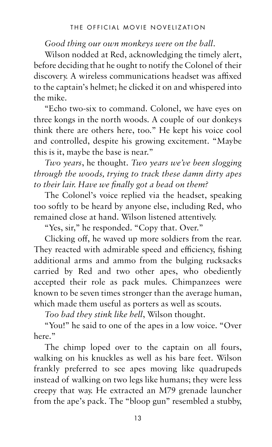#### THE OFFICIAL MOVIE NOVELIZATION

### *Good thing our own monkeys were on the ball.*

Wilson nodded at Red, acknowledging the timely alert, before deciding that he ought to notify the Colonel of their discovery. A wireless communications headset was affixed to the captain's helmet; he clicked it on and whispered into the mike.

"Echo two-six to command. Colonel, we have eyes on three kongs in the north woods. A couple of our donkeys think there are others here, too." He kept his voice cool and controlled, despite his growing excitement. "Maybe this is it, maybe the base is near."

*Two years*, he thought. *Two years we've been slogging through the woods, trying to track these damn dirty apes to their lair. Have we finally got a bead on them?*

The Colonel's voice replied via the headset, speaking too softly to be heard by anyone else, including Red, who remained close at hand. Wilson listened attentively.

"Yes, sir," he responded. "Copy that. Over."

Clicking off, he waved up more soldiers from the rear. They reacted with admirable speed and efficiency, fishing additional arms and ammo from the bulging rucksacks carried by Red and two other apes, who obediently accepted their role as pack mules. Chimpanzees were known to be seven times stronger than the average human, which made them useful as porters as well as scouts.

*Too bad they stink like hell*, Wilson thought.

"You!" he said to one of the apes in a low voice. "Over here."

The chimp loped over to the captain on all fours, walking on his knuckles as well as his bare feet. Wilson frankly preferred to see apes moving like quadrupeds instead of walking on two legs like humans; they were less creepy that way. He extracted an M79 grenade launcher from the ape's pack. The "bloop gun" resembled a stubby,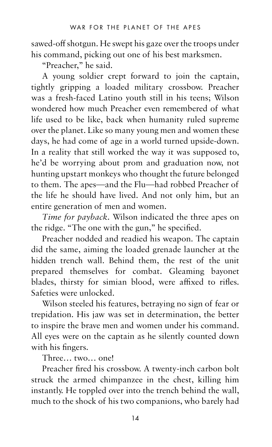sawed-off shotgun. He swept his gaze over the troops under his command, picking out one of his best marksmen.

"Preacher," he said.

A young soldier crept forward to join the captain, tightly gripping a loaded military crossbow. Preacher was a fresh-faced Latino youth still in his teens; Wilson wondered how much Preacher even remembered of what life used to be like, back when humanity ruled supreme over the planet. Like so many young men and women these days, he had come of age in a world turned upside-down. In a reality that still worked the way it was supposed to, he'd be worrying about prom and graduation now, not hunting upstart monkeys who thought the future belonged to them. The apes—and the Flu—had robbed Preacher of the life he should have lived. And not only him, but an entire generation of men and women.

*Time for payback*. Wilson indicated the three apes on the ridge. "The one with the gun," he specified.

Preacher nodded and readied his weapon. The captain did the same, aiming the loaded grenade launcher at the hidden trench wall. Behind them, the rest of the unit prepared themselves for combat. Gleaming bayonet blades, thirsty for simian blood, were affixed to rifles. Safeties were unlocked.

Wilson steeled his features, betraying no sign of fear or trepidation. His jaw was set in determination, the better to inspire the brave men and women under his command. All eyes were on the captain as he silently counted down with his fingers.

Three… two… one!

Preacher fired his crossbow. A twenty-inch carbon bolt struck the armed chimpanzee in the chest, killing him instantly. He toppled over into the trench behind the wall, much to the shock of his two companions, who barely had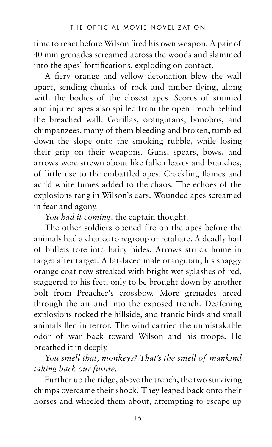time to react before Wilson fired his own weapon. A pair of 40 mm grenades screamed across the woods and slammed into the apes' fortifications, exploding on contact.

A fiery orange and yellow detonation blew the wall apart, sending chunks of rock and timber flying, along with the bodies of the closest apes. Scores of stunned and injured apes also spilled from the open trench behind the breached wall. Gorillas, orangutans, bonobos, and chimpanzees, many of them bleeding and broken, tumbled down the slope onto the smoking rubble, while losing their grip on their weapons. Guns, spears, bows, and arrows were strewn about like fallen leaves and branches, of little use to the embattled apes. Crackling flames and acrid white fumes added to the chaos. The echoes of the explosions rang in Wilson's ears. Wounded apes screamed in fear and agony.

*You had it coming*, the captain thought.

The other soldiers opened fire on the apes before the animals had a chance to regroup or retaliate. A deadly hail of bullets tore into hairy hides. Arrows struck home in target after target. A fat-faced male orangutan, his shaggy orange coat now streaked with bright wet splashes of red, staggered to his feet, only to be brought down by another bolt from Preacher's crossbow. More grenades arced through the air and into the exposed trench. Deafening explosions rocked the hillside, and frantic birds and small animals fled in terror. The wind carried the unmistakable odor of war back toward Wilson and his troops. He breathed it in deeply.

*You smell that, monkeys? That's the smell of mankind taking back our future.*

Further up the ridge, above the trench, the two surviving chimps overcame their shock. They leaped back onto their horses and wheeled them about, attempting to escape up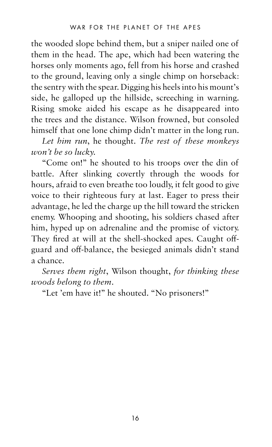the wooded slope behind them, but a sniper nailed one of them in the head. The ape, which had been watering the horses only moments ago, fell from his horse and crashed to the ground, leaving only a single chimp on horseback: the sentry with the spear. Digging his heels into his mount's side, he galloped up the hillside, screeching in warning. Rising smoke aided his escape as he disappeared into the trees and the distance. Wilson frowned, but consoled himself that one lone chimp didn't matter in the long run.

*Let him run*, he thought. *The rest of these monkeys won't be so lucky.*

"Come on!" he shouted to his troops over the din of battle. After slinking covertly through the woods for hours, afraid to even breathe too loudly, it felt good to give voice to their righteous fury at last. Eager to press their advantage, he led the charge up the hill toward the stricken enemy. Whooping and shooting, his soldiers chased after him, hyped up on adrenaline and the promise of victory. They fired at will at the shell-shocked apes. Caught offguard and off-balance, the besieged animals didn't stand a chance.

*Serves them right*, Wilson thought, *for thinking these woods belong to them.*

"Let 'em have it!" he shouted. "No prisoners!"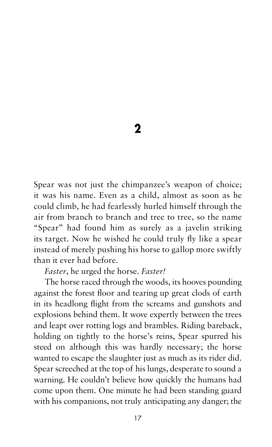**2**

Spear was not just the chimpanzee's weapon of choice; it was his name. Even as a child, almost as soon as he could climb, he had fearlessly hurled himself through the air from branch to branch and tree to tree, so the name "Spear" had found him as surely as a javelin striking its target. Now he wished he could truly fly like a spear instead of merely pushing his horse to gallop more swiftly than it ever had before.

*Faster*, he urged the horse. *Faster!*

The horse raced through the woods, its hooves pounding against the forest floor and tearing up great clods of earth in its headlong flight from the screams and gunshots and explosions behind them. It wove expertly between the trees and leapt over rotting logs and brambles. Riding bareback, holding on tightly to the horse's reins, Spear spurred his steed on although this was hardly necessary; the horse wanted to escape the slaughter just as much as its rider did. Spear screeched at the top of his lungs, desperate to sound a warning. He couldn't believe how quickly the humans had come upon them. One minute he had been standing guard with his companions, not truly anticipating any danger; the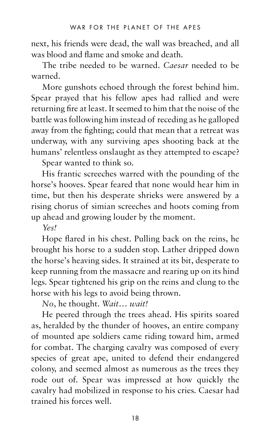next, his friends were dead, the wall was breached, and all was blood and flame and smoke and death.

The tribe needed to be warned. *Caesar* needed to be warned.

More gunshots echoed through the forest behind him. Spear prayed that his fellow apes had rallied and were returning fire at least. It seemed to him that the noise of the battle was following him instead of receding as he galloped away from the fighting; could that mean that a retreat was underway, with any surviving apes shooting back at the humans' relentless onslaught as they attempted to escape?

Spear wanted to think so.

His frantic screeches warred with the pounding of the horse's hooves. Spear feared that none would hear him in time, but then his desperate shrieks were answered by a rising chorus of simian screeches and hoots coming from up ahead and growing louder by the moment.

*Yes!*

Hope flared in his chest. Pulling back on the reins, he brought his horse to a sudden stop. Lather dripped down the horse's heaving sides. It strained at its bit, desperate to keep running from the massacre and rearing up on its hind legs. Spear tightened his grip on the reins and clung to the horse with his legs to avoid being thrown.

*No*, he thought. *Wait… wait!*

He peered through the trees ahead. His spirits soared as, heralded by the thunder of hooves, an entire company of mounted ape soldiers came riding toward him, armed for combat. The charging cavalry was composed of every species of great ape, united to defend their endangered colony, and seemed almost as numerous as the trees they rode out of. Spear was impressed at how quickly the cavalry had mobilized in response to his cries. Caesar had trained his forces well.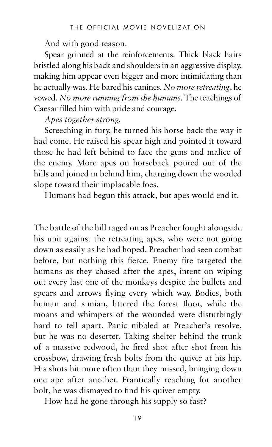And with good reason.

Spear grinned at the reinforcements. Thick black hairs bristled along his back and shoulders in an aggressive display, making him appear even bigger and more intimidating than he actually was. He bared his canines. *No more retreating*, he vowed. *No more running from the humans.* The teachings of Caesar filled him with pride and courage.

### *Apes together strong.*

Screeching in fury, he turned his horse back the way it had come. He raised his spear high and pointed it toward those he had left behind to face the guns and malice of the enemy. More apes on horseback poured out of the hills and joined in behind him, charging down the wooded slope toward their implacable foes.

Humans had begun this attack, but apes would end it.

The battle of the hill raged on as Preacher fought alongside his unit against the retreating apes, who were not going down as easily as he had hoped. Preacher had seen combat before, but nothing this fierce. Enemy fire targeted the humans as they chased after the apes, intent on wiping out every last one of the monkeys despite the bullets and spears and arrows flying every which way. Bodies, both human and simian, littered the forest floor, while the moans and whimpers of the wounded were disturbingly hard to tell apart. Panic nibbled at Preacher's resolve, but he was no deserter. Taking shelter behind the trunk of a massive redwood, he fired shot after shot from his crossbow, drawing fresh bolts from the quiver at his hip. His shots hit more often than they missed, bringing down one ape after another. Frantically reaching for another bolt, he was dismayed to find his quiver empty.

How had he gone through his supply so fast?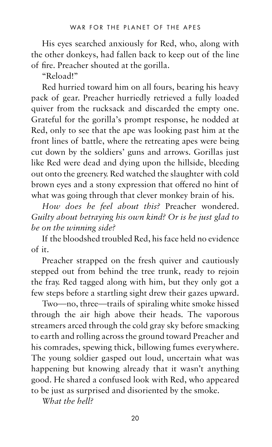His eyes searched anxiously for Red, who, along with the other donkeys, had fallen back to keep out of the line of fire. Preacher shouted at the gorilla.

"Reload!"

Red hurried toward him on all fours, bearing his heavy pack of gear. Preacher hurriedly retrieved a fully loaded quiver from the rucksack and discarded the empty one. Grateful for the gorilla's prompt response, he nodded at Red, only to see that the ape was looking past him at the front lines of battle, where the retreating apes were being cut down by the soldiers' guns and arrows. Gorillas just like Red were dead and dying upon the hillside, bleeding out onto the greenery. Red watched the slaughter with cold brown eyes and a stony expression that offered no hint of what was going through that clever monkey brain of his.

*How does he feel about this?* Preacher wondered. *Guilty about betraying his own kind? Or is he just glad to be on the winning side?*

If the bloodshed troubled Red, his face held no evidence of it.

Preacher strapped on the fresh quiver and cautiously stepped out from behind the tree trunk, ready to rejoin the fray. Red tagged along with him, but they only got a few steps before a startling sight drew their gazes upward.

Two—no, three—trails of spiraling white smoke hissed through the air high above their heads. The vaporous streamers arced through the cold gray sky before smacking to earth and rolling across the ground toward Preacher and his comrades, spewing thick, billowing fumes everywhere. The young soldier gasped out loud, uncertain what was happening but knowing already that it wasn't anything good. He shared a confused look with Red, who appeared to be just as surprised and disoriented by the smoke.

*What the hell?*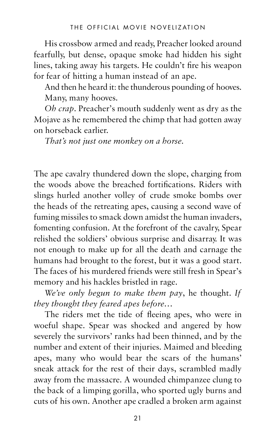His crossbow armed and ready, Preacher looked around fearfully, but dense, opaque smoke had hidden his sight lines, taking away his targets. He couldn't fire his weapon for fear of hitting a human instead of an ape.

And then he heard it: the thunderous pounding of hooves. Many, many hooves.

*Oh crap*. Preacher's mouth suddenly went as dry as the Mojave as he remembered the chimp that had gotten away on horseback earlier.

*That's not just one monkey on a horse.*

The ape cavalry thundered down the slope, charging from the woods above the breached fortifications. Riders with slings hurled another volley of crude smoke bombs over the heads of the retreating apes, causing a second wave of fuming missiles to smack down amidst the human invaders, fomenting confusion. At the forefront of the cavalry, Spear relished the soldiers' obvious surprise and disarray. It was not enough to make up for all the death and carnage the humans had brought to the forest, but it was a good start. The faces of his murdered friends were still fresh in Spear's memory and his hackles bristled in rage.

*We've only begun to make them pay*, he thought. *If they thought they feared apes before…*

The riders met the tide of fleeing apes, who were in woeful shape. Spear was shocked and angered by how severely the survivors' ranks had been thinned, and by the number and extent of their injuries. Maimed and bleeding apes, many who would bear the scars of the humans' sneak attack for the rest of their days, scrambled madly away from the massacre. A wounded chimpanzee clung to the back of a limping gorilla, who sported ugly burns and cuts of his own. Another ape cradled a broken arm against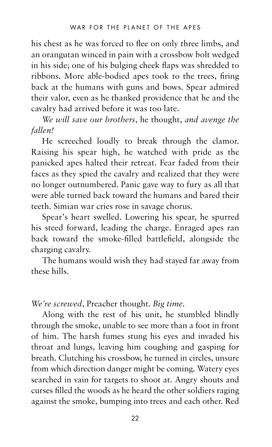his chest as he was forced to flee on only three limbs, and an orangutan winced in pain with a crossbow bolt wedged in his side; one of his bulging cheek flaps was shredded to ribbons. More able-bodied apes took to the trees, firing back at the humans with guns and bows. Spear admired their valor, even as he thanked providence that he and the cavalry had arrived before it was too late.

*We will save our brothers*, he thought, *and avenge the fallen!*

He screeched loudly to break through the clamor. Raising his spear high, he watched with pride as the panicked apes halted their retreat. Fear faded from their faces as they spied the cavalry and realized that they were no longer outnumbered. Panic gave way to fury as all that were able turned back toward the humans and bared their teeth. Simian war cries rose in savage chorus.

Spear's heart swelled. Lowering his spear, he spurred his steed forward, leading the charge. Enraged apes ran back toward the smoke-filled battlefield, alongside the charging cavalry.

The humans would wish they had stayed far away from these hills.

*We're screwed*, Preacher thought. *Big time.*

Along with the rest of his unit, he stumbled blindly through the smoke, unable to see more than a foot in front of him. The harsh fumes stung his eyes and invaded his throat and lungs, leaving him coughing and gasping for breath. Clutching his crossbow, he turned in circles, unsure from which direction danger might be coming. Watery eyes searched in vain for targets to shoot at. Angry shouts and curses filled the woods as he heard the other soldiers raging against the smoke, bumping into trees and each other. Red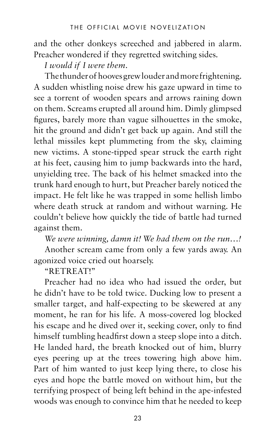and the other donkeys screeched and jabbered in alarm. Preacher wondered if they regretted switching sides.

*I would if I were them.*

The thunder of hooves grew louder and more frightening. A sudden whistling noise drew his gaze upward in time to see a torrent of wooden spears and arrows raining down on them. Screams erupted all around him. Dimly glimpsed figures, barely more than vague silhouettes in the smoke, hit the ground and didn't get back up again. And still the lethal missiles kept plummeting from the sky, claiming new victims. A stone-tipped spear struck the earth right at his feet, causing him to jump backwards into the hard, unyielding tree. The back of his helmet smacked into the trunk hard enough to hurt, but Preacher barely noticed the impact. He felt like he was trapped in some hellish limbo where death struck at random and without warning. He couldn't believe how quickly the tide of battle had turned against them.

*We were winning, damn it! We had them on the run…!*

Another scream came from only a few yards away. An agonized voice cried out hoarsely.

"RETREAT!"

Preacher had no idea who had issued the order, but he didn't have to be told twice. Ducking low to present a smaller target, and half-expecting to be skewered at any moment, he ran for his life. A moss-covered log blocked his escape and he dived over it, seeking cover, only to find himself tumbling headfirst down a steep slope into a ditch. He landed hard, the breath knocked out of him, blurry eyes peering up at the trees towering high above him. Part of him wanted to just keep lying there, to close his eyes and hope the battle moved on without him, but the terrifying prospect of being left behind in the ape-infested woods was enough to convince him that he needed to keep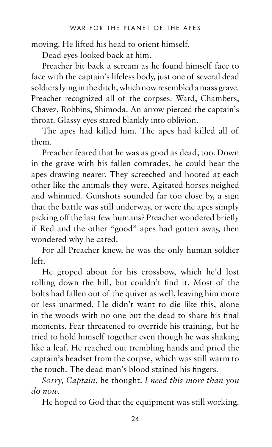moving. He lifted his head to orient himself.

Dead eyes looked back at him.

Preacher bit back a scream as he found himself face to face with the captain's lifeless body, just one of several dead soldiers lying in the ditch, which now resembled a mass grave. Preacher recognized all of the corpses: Ward, Chambers, Chavez, Robbins, Shimoda. An arrow pierced the captain's throat. Glassy eyes stared blankly into oblivion.

The apes had killed him. The apes had killed all of them.

Preacher feared that he was as good as dead, too. Down in the grave with his fallen comrades, he could hear the apes drawing nearer. They screeched and hooted at each other like the animals they were. Agitated horses neighed and whinnied. Gunshots sounded far too close by, a sign that the battle was still underway, or were the apes simply picking off the last few humans? Preacher wondered briefly if Red and the other "good" apes had gotten away, then wondered why he cared.

For all Preacher knew, he was the only human soldier left.

He groped about for his crossbow, which he'd lost rolling down the hill, but couldn't find it. Most of the bolts had fallen out of the quiver as well, leaving him more or less unarmed. He didn't want to die like this, alone in the woods with no one but the dead to share his final moments. Fear threatened to override his training, but he tried to hold himself together even though he was shaking like a leaf. He reached out trembling hands and pried the captain's headset from the corpse, which was still warm to the touch. The dead man's blood stained his fingers.

*Sorry, Captain*, he thought. *I need this more than you do now.*

He hoped to God that the equipment was still working.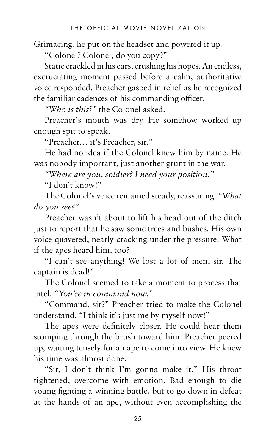Grimacing, he put on the headset and powered it up. "Colonel? Colonel, do you copy?"

Static crackled in his ears, crushing his hopes. An endless, excruciating moment passed before a calm, authoritative voice responded. Preacher gasped in relief as he recognized the familiar cadences of his commanding officer.

*"Who is this?"* the Colonel asked.

Preacher's mouth was dry. He somehow worked up enough spit to speak.

"Preacher… it's Preacher, sir."

He had no idea if the Colonel knew him by name. He was nobody important, just another grunt in the war.

*"Where are you, soldier? I need your position."*

"I don't know!"

The Colonel's voice remained steady, reassuring. *"What do you see?"*

Preacher wasn't about to lift his head out of the ditch just to report that he saw some trees and bushes. His own voice quavered, nearly cracking under the pressure. What if the apes heard him, too?

"I can't see anything! We lost a lot of men, sir. The captain is dead!"

The Colonel seemed to take a moment to process that intel. *"You're in command now."*

"Command, sir?" Preacher tried to make the Colonel understand. "I think it's just me by myself now!"

The apes were definitely closer. He could hear them stomping through the brush toward him. Preacher peered up, waiting tensely for an ape to come into view. He knew his time was almost done.

"Sir, I don't think I'm gonna make it." His throat tightened, overcome with emotion. Bad enough to die young fighting a winning battle, but to go down in defeat at the hands of an ape, without even accomplishing the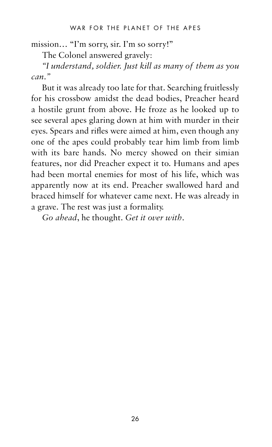mission… "I'm sorry, sir. I'm so sorry!"

The Colonel answered gravely:

*"I understand, soldier. Just kill as many of them as you can."*

But it was already too late for that. Searching fruitlessly for his crossbow amidst the dead bodies, Preacher heard a hostile grunt from above. He froze as he looked up to see several apes glaring down at him with murder in their eyes. Spears and rifles were aimed at him, even though any one of the apes could probably tear him limb from limb with its bare hands. No mercy showed on their simian features, nor did Preacher expect it to. Humans and apes had been mortal enemies for most of his life, which was apparently now at its end. Preacher swallowed hard and braced himself for whatever came next. He was already in a grave. The rest was just a formality.

*Go ahead*, he thought. *Get it over with.*